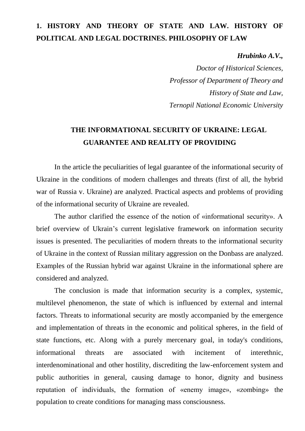### **1. HISTORY AND THEORY OF STATE AND LAW. HISTORY OF POLITICAL AND LEGAL DOCTRINES. PHILOSOPHY OF LAW**

#### *Hrubinko A.V.,*

*Doctor of Historical Sciences, Professor of Department of Theory and History of State and Law, Ternopil National Economic University*

### **THE INFORMATIONAL SECURITY OF UKRAINE: LEGAL GUARANTEE AND REALITY OF PROVIDING**

In the article the peculiarities of legal guarantee of the informational security of Ukraine in the conditions of modern challenges and threats (first of all, the hybrid war of Russia v. Ukraine) are analyzed. Practical aspects and problems of providing of the informational security of Ukraine are revealed.

The author clarified the essence of the notion of «informational security». A brief overview of Ukrain's current legislative framework on information security issues is presented. The peculiarities of modern threats to the informational security of Ukraine in the context of Russian military aggression on the Donbass are analyzed. Examples of the Russian hybrid war against Ukraine in the informational sphere are considered and analyzed.

The conclusion is made that information security is a complex, systemic, multilevel phenomenon, the state of which is influenced by external and internal factors. Threats to informational security are mostly accompanied by the emergence and implementation of threats in the economic and political spheres, in the field of state functions, etc. Along with a purely mercenary goal, in today's conditions, informational threats are associated with incitement of interethnic, interdenominational and other hostility, discrediting the law-enforcement system and public authorities in general, causing damage to honor, dignity and business reputation of individuals, the formation of «enemy image», «zombing» the population to create conditions for managing mass consciousness.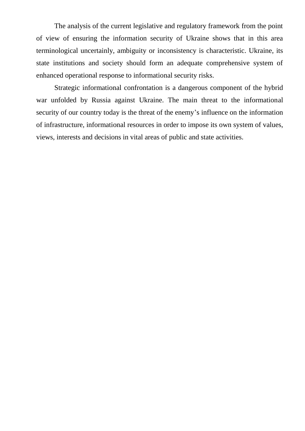The analysis of the current legislative and regulatory framework from the point of view of ensuring the information security of Ukraine shows that in this area terminological uncertainly, ambiguity or inconsistency is characteristic. Ukraine, its state institutions and society should form an adequate comprehensive system of enhanced operational response to informational security risks.

Strategic informational confrontation is a dangerous component of the hybrid war unfolded by Russia against Ukraine. The main threat to the informational security of our country today is the threat of the enemy's influence on the information of infrastructure, informational resources in order to impose its own system of values, views, interests and decisions in vital areas of public and state activities.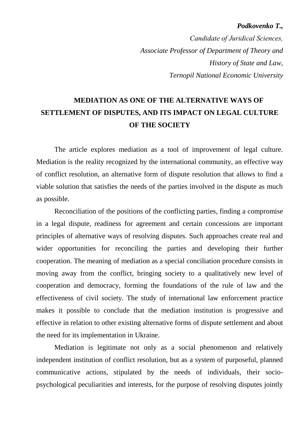#### *Podkovenko T.,*

*Сandidate of Juridical Sciences, Associate Professor of Department of Theory and History of State and Law, Ternopil National Economic University*

# **MEDIATION AS ONE OF THE ALTERNATIVE WAYS OF SETTLEMENT OF DISPUTES, AND ITS IMPACT ON LEGAL CULTURE OF THE SOCIETY**

The article explores mediation as a tool of improvement of legal culture. Mediation is the reality recognized by the international community, an effective way of conflict resolution, an alternative form of dispute resolution that allows to find a viable solution that satisfies the needs of the parties involved in the dispute as much as possible.

Reconciliation of the positions of the conflicting parties, finding a compromise in a legal dispute, readiness for agreement and certain concessions are important principles of alternative ways of resolving disputes. Such approaches create real and wider opportunities for reconciling the parties and developing their further cooperation. The meaning of mediation as a special conciliation procedure consists in moving away from the conflict, bringing society to a qualitatively new level of cooperation and democracy, forming the foundations of the rule of law and the effectiveness of civil society. The study of international law enforcement practice makes it possible to conclude that the mediation institution is progressive and effective in relation to other existing alternative forms of dispute settlement and about the need for its implementation in Ukraine.

Mediation is legitimate not only as a social phenomenon and relatively independent institution of conflict resolution, but as a system of purposeful, planned communicative actions, stipulated by the needs of individuals, their sociopsychological peculiarities and interests, for the purpose of resolving disputes jointly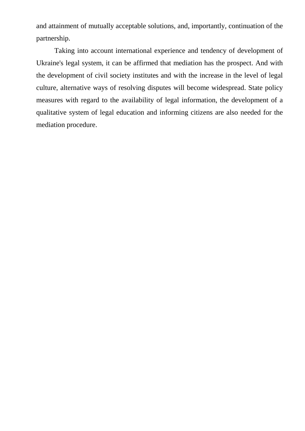and attainment of mutually acceptable solutions, and, importantly, continuation of the partnership.

Taking into account international experience and tendency of development of Ukraine's legal system, it can be affirmed that mediation has the prospect. And with the development of civil society institutes and with the increase in the level of legal culture, alternative ways of resolving disputes will become widespread. State policy measures with regard to the availability of legal information, the development of a qualitative system of legal education and informing citizens are also needed for the mediation procedure.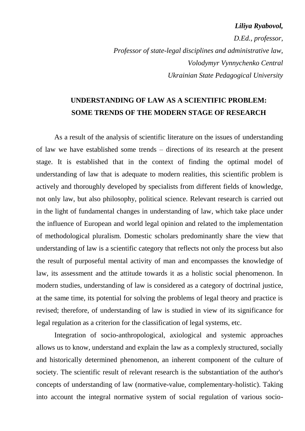#### *Liliya Ryabovol,*

*D.Ed., professor, Professor of state-legal disciplines and administrative law, Volodymyr Vynnychenko Central Ukrainian State Pedagogical University*

### **UNDERSTANDING OF LAW AS A SCIENTIFIC PROBLEM: SOME TRENDS OF THE MODERN STAGE OF RESEARCH**

As a result of the analysis of scientific literature on the issues of understanding of law we have established some trends – directions of its research at the present stage. It is established that in the context of finding the optimal model of understanding of law that is adequate to modern realities, this scientific problem is actively and thoroughly developed by specialists from different fields of knowledge, not only law, but also philosophy, political science. Relevant research is carried out in the light of fundamental changes in understanding of law, which take place under the influence of European and world legal opinion and related to the implementation of methodological pluralism. Domestic scholars predominantly share the view that understanding of law is a scientific category that reflects not only the process but also the result of purposeful mental activity of man and encompasses the knowledge of law, its assessment and the attitude towards it as a holistic social phenomenon. In modern studies, understanding of law is considered as a category of doctrinal justice, at the same time, its potential for solving the problems of legal theory and practice is revised; therefore, of understanding of law is studied in view of its significance for legal regulation as a criterion for the classification of legal systems, etc.

Integration of socio-anthropological, axiological and systemic approaches allows us to know, understand and explain the law as a complexly structured, socially and historically determined phenomenon, an inherent component of the culture of society. The scientific result of relevant research is the substantiation of the author's concepts of understanding of law (normative-value, complementary-holistic). Taking into account the integral normative system of social regulation of various socio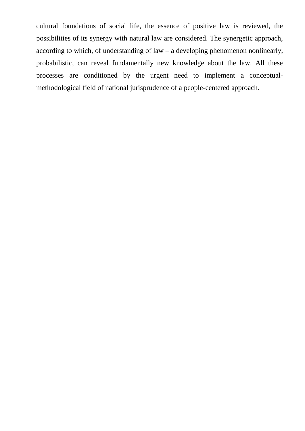cultural foundations of social life, the essence of positive law is reviewed, the possibilities of its synergy with natural law are considered. The synergetic approach, according to which, of understanding of law – a developing phenomenon nonlinearly, probabilistic, can reveal fundamentally new knowledge about the law. All these processes are conditioned by the urgent need to implement a conceptualmethodological field of national jurisprudence of a people-centered approach.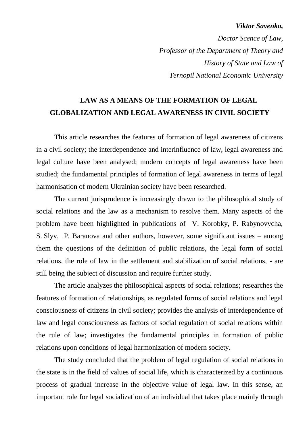#### *Viktor Savenko,*

*Doctor Scence of Law, Professor of the Department of Theory and History of State and Law of Ternopil National Economic University*

### **LAW AS A MEANS OF THE FORMATION OF LEGAL GLOBALIZATION AND LEGAL AWARENESS IN CIVIL SOCIETY**

This article researches the features of formation of legal awareness of citizens in a civil society; the interdependence and interinfluence of law, legal awareness and legal culture have been analysed; modern concepts of legal awareness have been studied; the fundamental principles of formation of legal awareness in terms of legal harmonisation of modern Ukrainian society have been researched.

The current jurisprudence is increasingly drawn to the philosophical study of social relations and the law as a mechanism to resolve them. Many aspects of the problem have been highlighted in publications of V. Korobky, P. Rabynovycha, S. Slyv, P. Baranova and other authors, however, some significant issues – among them the questions of the definition of public relations, the legal form of social relations, the role of law in the settlement and stabilization of social relations, - are still being the subject of discussion and require further study.

The article analyzes the philosophical aspects of social relations; researches the features of formation of relationships, as regulated forms of social relations and legal consciousness of citizens in civil society; provides the analysis of interdependence of law and legal consciousness as factors of social regulation of social relations within the rule of law; investigates the fundamental principles in formation of public relations upon conditions of legal harmonization of modern society.

The study concluded that the problem of legal regulation of social relations in the state is in the field of values of social life, which is characterized by a continuous process of gradual increase in the objective value of legal law. In this sense, an important role for legal socialization of an individual that takes place mainly through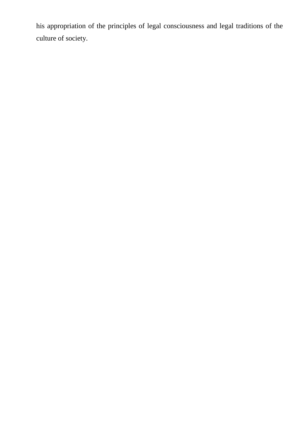his appropriation of the principles of legal consciousness and legal traditions of the culture of society.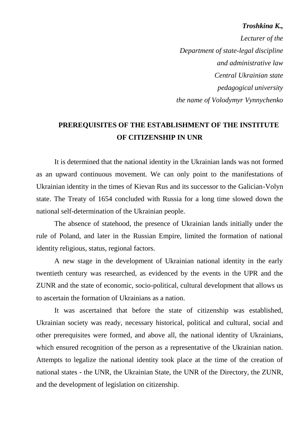#### *Troshkina K.,*

*Lecturer of the Department of state-legal discipline and administrative law Central Ukrainian state pedagogical university the name of Volodymyr Vynnychenko*

#### **PREREQUISITES OF THE ESTABLISHMENT OF THE INSTITUTE OF CITIZENSHIP IN UNR**

It is determined that the national identity in the Ukrainian lands was not formed as an upward continuous movement. We can only point to the manifestations of Ukrainian identity in the times of Kievan Rus and its successor to the Galician-Volyn state. The Treaty of 1654 concluded with Russia for a long time slowed down the national self-determination of the Ukrainian people.

The absence of statehood, the presence of Ukrainian lands initially under the rule of Poland, and later in the Russian Empire, limited the formation of national identity religious, status, regional factors.

A new stage in the development of Ukrainian national identity in the early twentieth century was researched, as evidenced by the events in the UPR and the ZUNR and the state of economic, socio-political, cultural development that allows us to ascertain the formation of Ukrainians as a nation.

It was ascertained that before the state of citizenship was established, Ukrainian society was ready, necessary historical, political and cultural, social and other prerequisites were formed, and above all, the national identity of Ukrainians, which ensured recognition of the person as a representative of the Ukrainian nation. Attempts to legalize the national identity took place at the time of the creation of national states - the UNR, the Ukrainian State, the UNR of the Directory, the ZUNR, and the development of legislation on citizenship.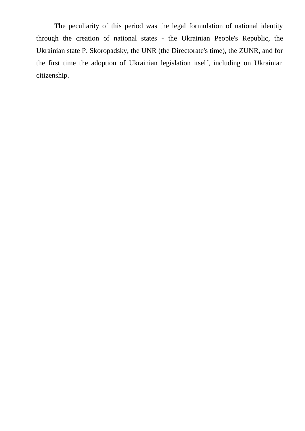The peculiarity of this period was the legal formulation of national identity through the creation of national states - the Ukrainian People's Republic, the Ukrainian state P. Skoropadsky, the UNR (the Directorate's time), the ZUNR, and for the first time the adoption of Ukrainian legislation itself, including on Ukrainian citizenship.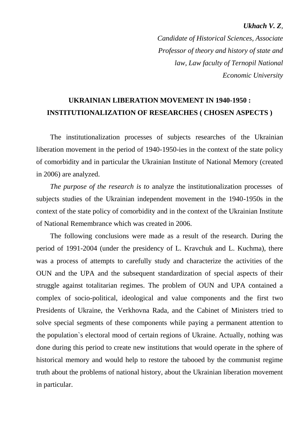#### *Ukhach V. Z,*

*Candidate of Historical Sciences, Associate Professor of theory and history of state and law, Law faculty of Ternopil National Economic University* 

### **UKRAINIAN LIBERATION MOVEMENT IN 1940-1950 : INSTITUTIONALIZATION OF RESEARCHES ( CHOSEN ASPECTS )**

The institutionalization processes of subjects researches of the Ukrainian liberation movement in the period of 1940-1950-ies in the context of the state policy of comorbidity and in particular the Ukrainian Institute of National Memory (created in 2006) are analyzed.

*The purpose of the research is to* analyze the institutionalization processes of subjects studies of the Ukrainian independent movement in the 1940-1950s in the context of the state policy of comorbidity and in the context of the Ukrainian Institute of National Remembrance which was created in 2006.

The following conclusions were made as a result of the research. During the period of 1991-2004 (under the presidency of L. Kravchuk and L. Kuchma), there was a process of attempts to carefully study and characterize the activities of the OUN and the UPA and the subsequent standardization of special aspects of their struggle against totalitarian regimes. The problem of OUN and UPA contained a complex of socio-political, ideological and value components and the first two Presidents of Ukraine, the Verkhovna Rada, and the Cabinet of Ministers tried to solve special segments of these components while paying a permanent attention to the population`s electoral mood of certain regions of Ukraine. Actually, nothing was done during this period to create new institutions that would operate in the sphere of historical memory and would help to restore the tabooed by the communist regime truth about the problems of national history, about the Ukrainian liberation movement in particular.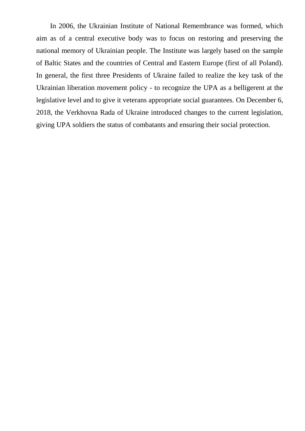In 2006, the Ukrainian Institute of National Remembrance was formed, which aim as of a central executive body was to focus on restoring and preserving the national memory of Ukrainian people. The Institute was largely based on the sample of Baltic States and the countries of Central and Eastern Europe (first of all Poland). In general, the first three Presidents of Ukraine failed to realize the key task of the Ukrainian liberation movement policy - to recognize the UPA as a belligerent at the legislative level and to give it veterans appropriate social guarantees. On December 6, 2018, the Verkhovna Rada of Ukraine introduced changes to the current legislation, giving UPA soldiers the status of combatants and ensuring their social protection.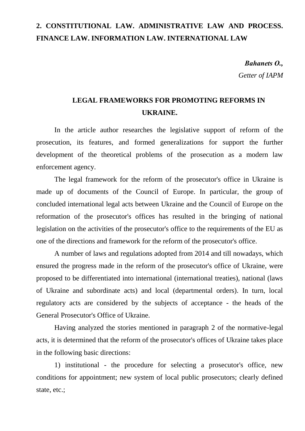### **2. CONSTITUTIONAL LAW. ADMINISTRATIVE LAW AND PROCESS. FINANCE LAW. INFORMATION LAW. INTERNATIONAL LAW**

*Bahanets О., Getter of IAPM*

### **LEGAL FRAMEWORKS FOR PROMOTING REFORMS IN UKRAINE.**

In the article author researches the legislative support of reform of the prosecution, its features, and formed generalizations for support the further development of the theoretical problems of the prosecution as a modern law enforcement agency.

The legal framework for the reform of the prosecutor's office in Ukraine is made up of documents of the Council of Europe. In particular, the group of concluded international legal acts between Ukraine and the Council of Europe on the reformation of the prosecutor's offices has resulted in the bringing of national legislation on the activities of the prosecutor's office to the requirements of the EU as one of the directions and framework for the reform of the prosecutor's office.

A number of laws and regulations adopted from 2014 and till nowadays, which ensured the progress made in the reform of the prosecutor's office of Ukraine, were proposed to be differentiated into international (international treaties), national (laws of Ukraine and subordinate acts) and local (departmental orders). In turn, local regulatory acts are considered by the subjects of acceptance - the heads of the General Prosecutor's Office of Ukraine.

Having analyzed the stories mentioned in paragraph 2 of the normative-legal acts, it is determined that the reform of the prosecutor's offices of Ukraine takes place in the following basic directions:

1) institutional - the procedure for selecting a prosecutor's office, new conditions for appointment; new system of local public prosecutors; clearly defined state, etc.;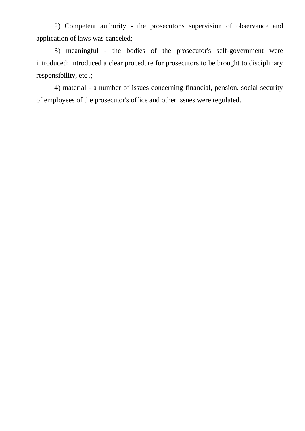2) Competent authority - the prosecutor's supervision of observance and application of laws was canceled;

3) meaningful - the bodies of the prosecutor's self-government were introduced; introduced a clear procedure for prosecutors to be brought to disciplinary responsibility, etc .;

4) material - a number of issues concerning financial, pension, social security of employees of the prosecutor's office and other issues were regulated.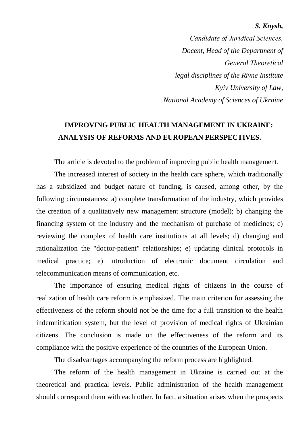#### *S. Knysh,*

*Сandidate of Juridical Sciences, Docent, Head of the Department of General Theoretical legal disciplines of the Rivne Institute Kyiv University of Law, National Academy of Sciences of Ukraine*

### **IMPROVING PUBLIC HEALTH MANAGEMENT IN UKRAINE: ANALYSIS OF REFORMS AND EUROPEAN PERSPECTIVES.**

The article is devoted to the problem of improving public health management.

The increased interest of society in the health care sphere, which traditionally has a subsidized and budget nature of funding, is caused, among other, by the following circumstances: a) complete transformation of the industry, which provides the creation of a qualitatively new management structure (model); b) changing the financing system of the industry and the mechanism of purchase of medicines; c) reviewing the complex of health care institutions at all levels; d) changing and rationalization the "doctor-patient" relationships; e) updating clinical protocols in medical practice; e) introduction of electronic document circulation and telecommunication means of communication, etc.

The importance of ensuring medical rights of citizens in the course of realization of health care reform is emphasized. The main criterion for assessing the effectiveness of the reform should not be the time for a full transition to the health indemnification system, but the level of provision of medical rights of Ukrainian citizens. The conclusion is made on the effectiveness of the reform and its compliance with the positive experience of the countries of the European Union.

The disadvantages accompanying the reform process are highlighted.

The reform of the health management in Ukraine is carried out at the theoretical and practical levels. Public administration of the health management should correspond them with each other. In fact, a situation arises when the prospects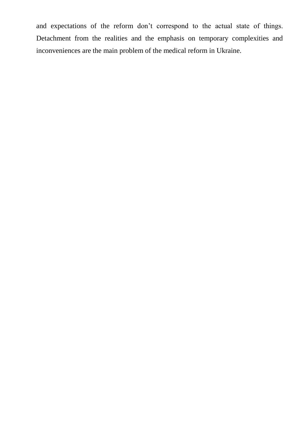and expectations of the reform don't correspond to the actual state of things. Detachment from the realities and the emphasis on temporary complexities and inconveniences are the main problem of the medical reform in Ukraine.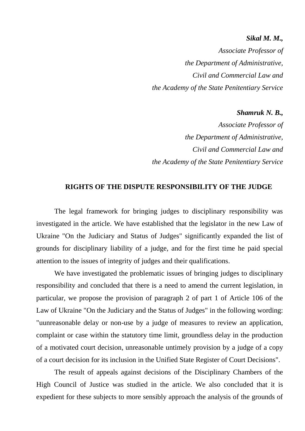#### *Sikal M. M.,*

*Associate Professor of the Department of Administrative, Civil and Commercial Law and the Academy of the State Penitentiary Service*

*Shamruk N. B.,*

*Associate Professor of the Department of Administrative, Civil and Commercial Law and the Academy of the State Penitentiary Service*

#### **RIGHTS OF THE DISPUTE RESPONSIBILITY OF THE JUDGE**

The legal framework for bringing judges to disciplinary responsibility was investigated in the article. We have established that the legislator in the new Law of Ukraine "On the Judiciary and Status of Judges" significantly expanded the list of grounds for disciplinary liability of a judge, and for the first time he paid special attention to the issues of integrity of judges and their qualifications.

We have investigated the problematic issues of bringing judges to disciplinary responsibility and concluded that there is a need to amend the current legislation, in particular, we propose the provision of paragraph 2 of part 1 of Article 106 of the Law of Ukraine "On the Judiciary and the Status of Judges" in the following wording: "uunreasonable delay or non-use by a judge of measures to review an application, complaint or case within the statutory time limit, groundless delay in the production of a motivated court decision, unreasonable untimely provision by a judge of a copy of a court decision for its inclusion in the Unified State Register of Court Decisions".

The result of appeals against decisions of the Disciplinary Chambers of the High Council of Justice was studied in the article. We also concluded that it is expedient for these subjects to more sensibly approach the analysis of the grounds of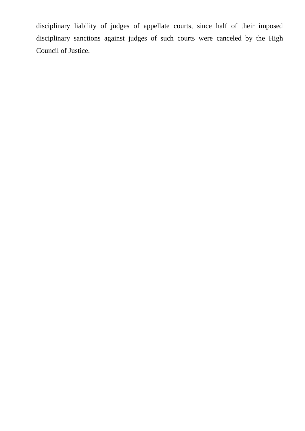disciplinary liability of judges of appellate courts, since half of their imposed disciplinary sanctions against judges of such courts were canceled by the High Council of Justice.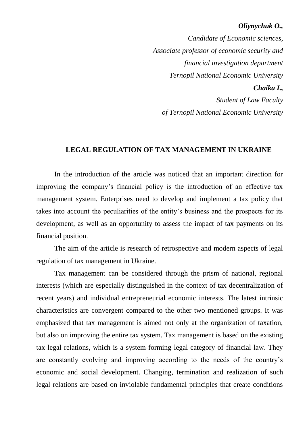#### *Oliynychuk O.,*

*Candidate of Economic sciences, Associate professor of economic security and financial investigation department Ternopil National Economic University Chaika I., Student of Law Faculty of Ternopil National Economic University*

#### **LEGAL REGULATION OF TAX MANAGEMENT IN UKRAINE**

In the introduction of the article was noticed that an important direction for improving the company's financial policy is the introduction of an effective tax management system. Enterprises need to develop and implement a tax policy that takes into account the peculiarities of the entity's business and the prospects for its development, as well as an opportunity to assess the impact of tax payments on its financial position.

The aim of the article is research of retrospective and modern aspects of legal regulation of tax management in Ukraine.

Tax management can be considered through the prism of national, regional interests (which are especially distinguished in the context of tax decentralization of recent years) and individual entrepreneurial economic interests. The latest intrinsic characteristics are convergent compared to the other two mentioned groups. It was emphasized that tax management is aimed not only at the organization of taxation, but also on improving the entire tax system. Tax management is based on the existing tax legal relations, which is a system-forming legal category of financial law. They are constantly evolving and improving according to the needs of the country's economic and social development. Changing, termination and realization of such legal relations are based on inviolable fundamental principles that create conditions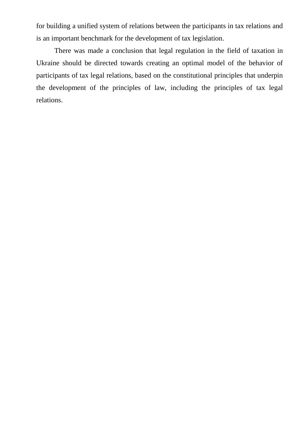for building a unified system of relations between the participants in tax relations and is an important benchmark for the development of tax legislation.

There was made a conclusion that legal regulation in the field of taxation in Ukraine should be directed towards creating an optimal model of the behavior of participants of tax legal relations, based on the constitutional principles that underpin the development of the principles of law, including the principles of tax legal relations.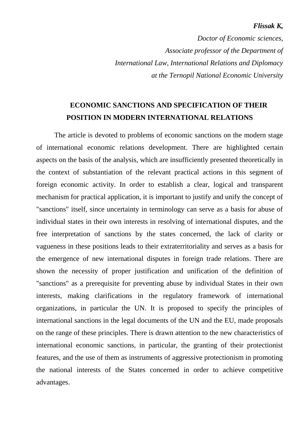#### *Flissak K,*

*Doctor of Economic sciences, Associate professor of the Department of International Law, International Relations and Diplomacy at the Ternopil National Economic University*

### **ECONOMIC SANCTIONS AND SPECIFICATION OF THEIR POSITION IN MODERN INTERNATIONAL RELATIONS**

The article is devoted to problems of economic sanctions on the modern stage of international economic relations development. There are highlighted certain aspects on the basis of the analysis, which are insufficiently presented theoretically in the context of substantiation of the relevant practical actions in this segment of foreign economic activity. In order to establish a clear, logical and transparent mechanism for practical application, it is important to justify and unify the concept of "sanctions" itself, since uncertainty in terminology can serve as a basis for abuse of individual states in their own interests in resolving of international disputes, and the free interpretation of sanctions by the states concerned, the lack of clarity or vagueness in these positions leads to their extraterritoriality and serves as a basis for the emergence of new international disputes in foreign trade relations. There are shown the necessity of proper justification and unification of the definition of "sanctions" as a prerequisite for preventing abuse by individual States in their own interests, making clarifications in the regulatory framework of international organizations, in particular the UN. It is proposed to specify the principles of international sanctions in the legal documents of the UN and the EU, made proposals on the range of these principles. There is drawn attention to the new characteristics of international economic sanctions, in particular, the granting of their protectionist features, and the use of them as instruments of aggressive protectionism in promoting the national interests of the States concerned in order to achieve competitive advantages.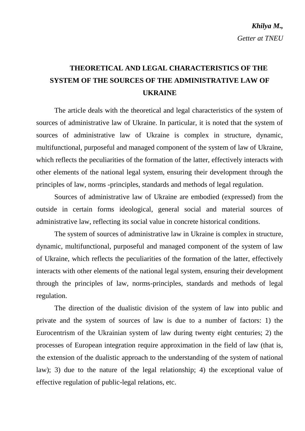# **THEORETICAL AND LEGAL CHARACTERISTICS OF THE SYSTEM OF THE SOURCES OF THE ADMINISTRATIVE LAW OF UKRAINE**

The article deals with the theoretical and legal characteristics of the system of sources of administrative law of Ukraine. In particular, it is noted that the system of sources of administrative law of Ukraine is complex in structure, dynamic, multifunctional, purposeful and managed component of the system of law of Ukraine, which reflects the peculiarities of the formation of the latter, effectively interacts with other elements of the national legal system, ensuring their development through the principles of law, norms -principles, standards and methods of legal regulation.

Sources of administrative law of Ukraine are embodied (expressed) from the outside in certain forms ideological, general social and material sources of administrative law, reflecting its social value in concrete historical conditions.

The system of sources of administrative law in Ukraine is complex in structure, dynamic, multifunctional, purposeful and managed component of the system of law of Ukraine, which reflects the peculiarities of the formation of the latter, effectively interacts with other elements of the national legal system, ensuring their development through the principles of law, norms-principles, standards and methods of legal regulation.

The direction of the dualistic division of the system of law into public and private and the system of sources of law is due to a number of factors: 1) the Eurocentrism of the Ukrainian system of law during twenty eight centuries; 2) the processes of European integration require approximation in the field of law (that is, the extension of the dualistic approach to the understanding of the system of national law); 3) due to the nature of the legal relationship; 4) the exceptional value of effective regulation of public-legal relations, etc.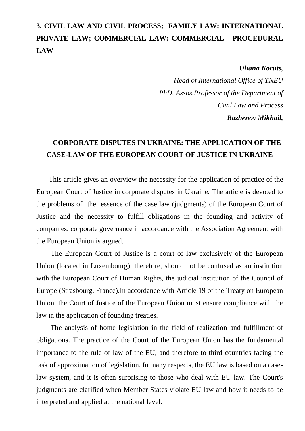## **3. CIVIL LAW AND CIVIL PROCESS; FAMILY LAW; INTERNATIONAL PRIVATE LAW; COMMERCIAL LAW; COMMERCIAL - PROCEDURAL LAW**

*Uliana Koruts,*

*Head of International Office of TNEU PhD, Assos.Professor of the Department of Civil Law and Process Bazhenov Mikhail,*

### **CORPORATE DISPUTES IN UKRAINE: THE APPLICATION OF THE CASE-LAW OF THE EUROPEAN COURT OF JUSTICE IN UKRAINE**

 This article gives an overview the necessity for the application of practice of the European Court of Justice in corporate disputes in Ukraine. The article is devoted to the problems of the essence of the case law (judgments) of the European Court of Justice and the necessity to fulfill obligations in the founding and activity of companies, corporate governance in accordance with the Association Agreement with the European Union is argued.

The European Court of Justice is a court of law exclusively of the European Union (located in Luxembourg), therefore, should not be confused as an institution with the European Court of Human Rights, the judicial institution of the Council of Europe (Strasbourg, France).In accordance with Article 19 of the Treaty on European Union, the Court of Justice of the European Union must ensure compliance with the law in the application of founding treaties.

 The analysis of home legislation in the field of realization and fulfillment of obligations. The practice of the Court of the European Union has the fundamental importance to the rule of law of the EU, and therefore to third countries facing the task of approximation of legislation. In many respects, the EU law is based on a caselaw system, and it is often surprising to those who deal with EU law. The Court's judgments are clarified when Member States violate EU law and how it needs to be interpreted and applied at the national level.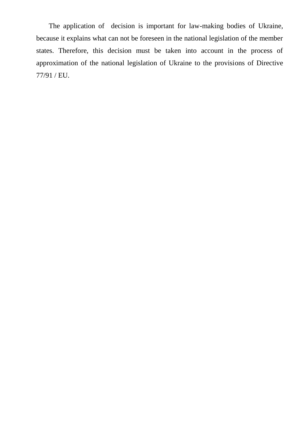The application of decision is important for law-making bodies of Ukraine, because it explains what can not be foreseen in the national legislation of the member states. Therefore, this decision must be taken into account in the process of approximation of the national legislation of Ukraine to the provisions of Directive 77/91 / EU.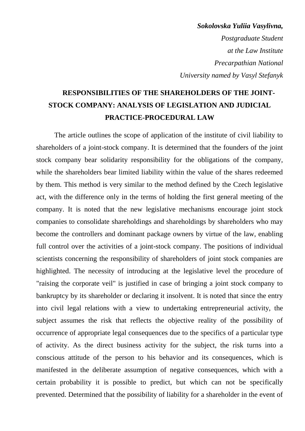*Sokolovska Yuliia Vasylivna, Postgraduate Student at the Law Institute Precarpathian National University named by Vasyl Stefanyk* 

# **RESPONSIBILITIES OF THE SHAREHOLDERS OF THE JOINT-STOCK COMPANY: ANALYSIS OF LEGISLATION AND JUDICIAL PRACTICE-PROCEDURAL LAW**

The article outlines the scope of application of the institute of civil liability to shareholders of a joint-stock company. It is determined that the founders of the joint stock company bear solidarity responsibility for the obligations of the company, while the shareholders bear limited liability within the value of the shares redeemed by them. This method is very similar to the method defined by the Czech legislative act, with the difference only in the terms of holding the first general meeting of the company. It is noted that the new legislative mechanisms encourage joint stock companies to consolidate shareholdings and shareholdings by shareholders who may become the controllers and dominant package owners by virtue of the law, enabling full control over the activities of a joint-stock company. The positions of individual scientists concerning the responsibility of shareholders of joint stock companies are highlighted. The necessity of introducing at the legislative level the procedure of "raising the corporate veil" is justified in case of bringing a joint stock company to bankruptcy by its shareholder or declaring it insolvent. It is noted that since the entry into civil legal relations with a view to undertaking entrepreneurial activity, the subject assumes the risk that reflects the objective reality of the possibility of occurrence of appropriate legal consequences due to the specifics of a particular type of activity. As the direct business activity for the subject, the risk turns into a conscious attitude of the person to his behavior and its consequences, which is manifested in the deliberate assumption of negative consequences, which with a certain probability it is possible to predict, but which can not be specifically prevented. Determined that the possibility of liability for a shareholder in the event of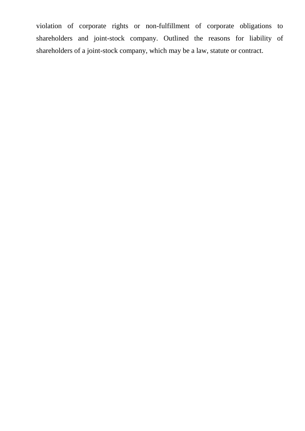violation of corporate rights or non-fulfillment of corporate obligations to shareholders and joint-stock company. Outlined the reasons for liability of shareholders of a joint-stock company, which may be a law, statute or contract.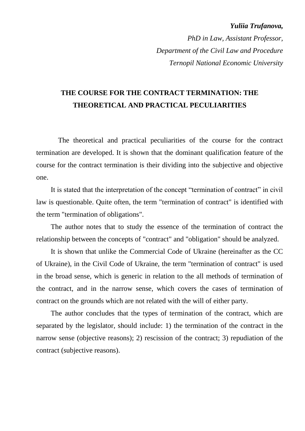#### *Yuliia Trufanova,*

*PhD in Law, Assistant Professor, Department of the Civil Law and Procedure Ternopil National Economic University* 

### **THE COURSE FOR THE CONTRACT TERMINATION: THE THEORETICAL AND PRACTICAL PECULIARITIES**

The theoretical and practical peculiarities of the course for the contract termination are developed. It is shown that the dominant qualification feature of the course for the contract termination is their dividing into the subjective and objective one.

It is stated that the interpretation of the concept "termination of contract" in civil law is questionable. Quite often, the term "termination of contract" is identified with the term "termination of obligations".

The author notes that to study the essence of the termination of contract the relationship between the concepts of "contract" and "obligation" should be analyzed.

It is shown that unlike the Commercial Code of Ukraine (hereinafter as the CC of Ukraine), in the Civil Code of Ukraine, the term "termination of contract" is used in the broad sense, which is generic in relation to the all methods of termination of the contract, and in the narrow sense, which covers the cases of termination of contract on the grounds which are not related with the will of either party.

The author concludes that the types of termination of the contract, which are separated by the legislator, should include: 1) the termination of the contract in the narrow sense (objective reasons); 2) rescission of the contract; 3) repudiation of the contract (subjective reasons).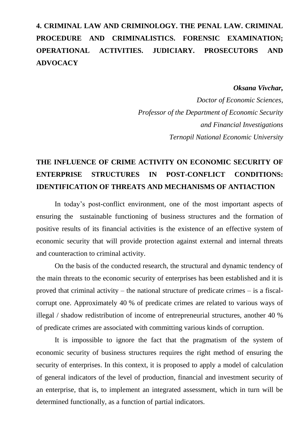# **4. CRIMINAL LAW AND CRIMINOLOGY. THE PENAL LAW. CRIMINAL PROCEDURE AND CRIMINALISTICS. FORENSIC EXAMINATION; OPERATIONAL ACTIVITIES. JUDICIARY. PROSECUTORS AND ADVOCACY**

#### *Oksana Vivchar,*

*Doctor of Economic Sciences, Professor of the Department of Economic Security and Financial Investigations Ternopil National Economic University*

# **THE INFLUENCE OF CRIME ACTIVITY ON ECONOMIC SECURITY OF ENTERPRISE STRUCTURES IN POST-CONFLICT CONDITIONS: IDENTIFICATION OF THREATS AND MECHANISMS OF ANTIACTION**

In today's post-conflict environment, one of the most important aspects of ensuring the sustainable functioning of business structures and the formation of positive results of its financial activities is the existence of an effective system of economic security that will provide protection against external and internal threats and counteraction to criminal activity.

On the basis of the conducted research, the structural and dynamic tendency of the main threats to the economic security of enterprises has been established and it is proved that criminal activity – the national structure of predicate crimes – is a fiscalcorrupt one. Approximately 40 % of predicate crimes are related to various ways of illegal / shadow redistribution of income of entrepreneurial structures, another 40 % of predicate crimes are associated with committing various kinds of corruption.

It is impossible to ignore the fact that the pragmatism of the system of economic security of business structures requires the right method of ensuring the security of enterprises. In this context, it is proposed to apply a model of calculation of general indicators of the level of production, financial and investment security of an enterprise, that is, to implement an integrated assessment, which in turn will be determined functionally, as a function of partial indicators.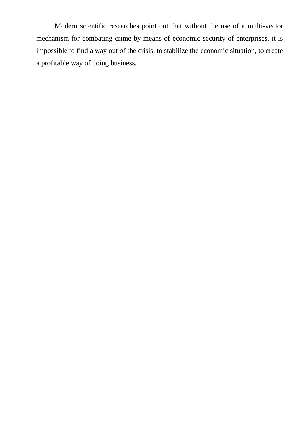Modern scientific researches point out that without the use of a multi-vector mechanism for combating crime by means of economic security of enterprises, it is impossible to find a way out of the crisis, to stabilize the economic situation, to create a profitable way of doing business.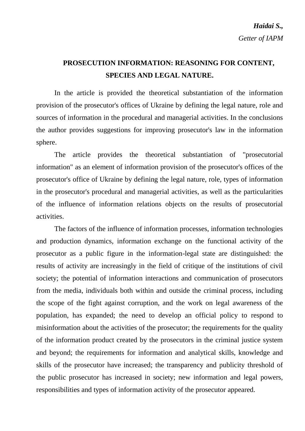### **PROSECUTION INFORMATION: REASONING FOR CONTENT, SPECIES AND LEGAL NATURE.**

In the article is provided the theoretical substantiation of the information provision of the prosecutor's offices of Ukraine by defining the legal nature, role and sources of information in the procedural and managerial activities. In the conclusions the author provides suggestions for improving prosecutor's law in the information sphere.

The article provides the theoretical substantiation of "prosecutorial information" as an element of information provision of the prosecutor's offices of the prosecutor's office of Ukraine by defining the legal nature, role, types of information in the prosecutor's procedural and managerial activities, as well as the particularities of the influence of information relations objects on the results of prosecutorial activities.

The factors of the influence of information processes, information technologies and production dynamics, information exchange on the functional activity of the prosecutor as a public figure in the information-legal state are distinguished: the results of activity are increasingly in the field of critique of the institutions of civil society; the potential of information interactions and communication of prosecutors from the media, individuals both within and outside the criminal process, including the scope of the fight against corruption, and the work on legal awareness of the population, has expanded; the need to develop an official policy to respond to misinformation about the activities of the prosecutor; the requirements for the quality of the information product created by the prosecutors in the criminal justice system and beyond; the requirements for information and analytical skills, knowledge and skills of the prosecutor have increased; the transparency and publicity threshold of the public prosecutor has increased in society; new information and legal powers, responsibilities and types of information activity of the prosecutor appeared.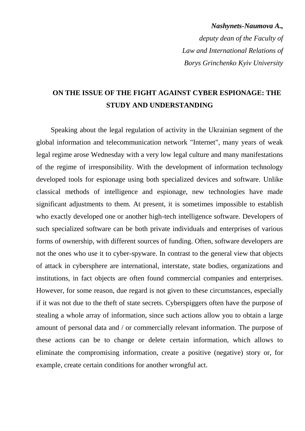# *Nashynets-Naumova A., deputy dean of the Faculty of Law and International Relations of Borys Grinchenko Kyiv University*

### **ON THE ISSUE OF THE FIGHT AGAINST CYBER ESPIONAGE: THE STUDY AND UNDERSTANDING**

Speaking about the legal regulation of activity in the Ukrainian segment of the global information and telecommunication network "Internet", many years of weak legal regime arose Wednesday with a very low legal culture and many manifestations of the regime of irresponsibility. With the development of information technology developed tools for espionage using both specialized devices and software. Unlike classical methods of intelligence and espionage, new technologies have made significant adjustments to them. At present, it is sometimes impossible to establish who exactly developed one or another high-tech intelligence software. Developers of such specialized software can be both private individuals and enterprises of various forms of ownership, with different sources of funding. Often, software developers are not the ones who use it to cyber-spyware. In contrast to the general view that objects of attack in cybersphere are international, interstate, state bodies, organizations and institutions, in fact objects are often found commercial companies and enterprises. However, for some reason, due regard is not given to these circumstances, especially if it was not due to the theft of state secrets. Cyberspiggers often have the purpose of stealing a whole array of information, since such actions allow you to obtain a large amount of personal data and / or commercially relevant information. The purpose of these actions can be to change or delete certain information, which allows to eliminate the compromising information, create a positive (negative) story or, for example, create certain conditions for another wrongful act.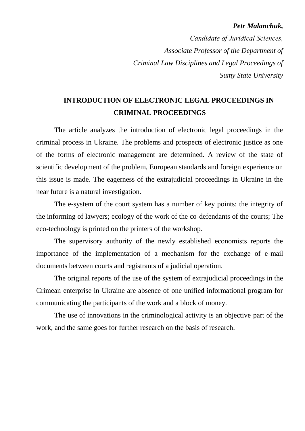#### *Petr Malanchuk,*

*Сandidate of Juridical Sciences, Associate Professor of the Department of Criminal Law Disciplines and Legal Proceedings of Sumy State University*

### **INTRODUCTION OF ELECTRONIC LEGAL PROCEEDINGS IN CRIMINAL PROCEEDINGS**

The article analyzes the introduction of electronic legal proceedings in the criminal process in Ukraine. The problems and prospects of electronic justice as one of the forms of electronic management are determined. A review of the state of scientific development of the problem, European standards and foreign experience on this issue is made. The eagerness of the extrajudicial proceedings in Ukraine in the near future is a natural investigation.

The e-system of the court system has a number of key points: the integrity of the informing of lawyers; ecology of the work of the co-defendants of the courts; The eco-technology is printed on the printers of the workshop.

The supervisory authority of the newly established economists reports the importance of the implementation of a mechanism for the exchange of e-mail documents between courts and registrants of a judicial operation.

The original reports of the use of the system of extrajudicial proceedings in the Crimean enterprise in Ukraine are absence of one unified informational program for communicating the participants of the work and a block of money.

The use of innovations in the criminological activity is an objective part of the work, and the same goes for further research on the basis of research.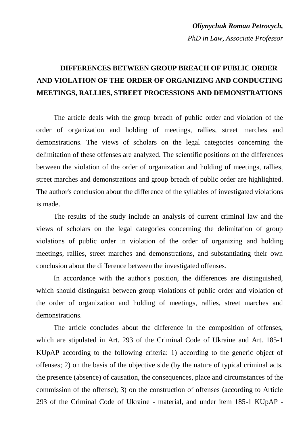### *Oliynychuk Roman Petrovych, PhD in Law, Associate Professor*

# **DIFFERENCES BETWEEN GROUP BREACH OF PUBLIC ORDER AND VIOLATION OF THE ORDER OF ORGANIZING AND CONDUCTING MEETINGS, RALLIES, STREET PROCESSIONS AND DEMONSTRATIONS**

The article deals with the group breach of public order and violation of the order of organization and holding of meetings, rallies, street marches and demonstrations. The views of scholars on the legal categories concerning the delimitation of these offenses are analyzed. The scientific positions on the differences between the violation of the order of organization and holding of meetings, rallies, street marches and demonstrations and group breach of public order are highlighted. The author's conclusion about the difference of the syllables of investigated violations is made.

The results of the study include an analysis of current criminal law and the views of scholars on the legal categories concerning the delimitation of group violations of public order in violation of the order of organizing and holding meetings, rallies, street marches and demonstrations, and substantiating their own conclusion about the difference between the investigated offenses.

In accordance with the author's position, the differences are distinguished, which should distinguish between group violations of public order and violation of the order of organization and holding of meetings, rallies, street marches and demonstrations.

The article concludes about the difference in the composition of offenses, which are stipulated in Art. 293 of the Criminal Code of Ukraine and Art. 185-1 KUpAP according to the following criteria: 1) according to the generic object of offenses; 2) on the basis of the objective side (by the nature of typical criminal acts, the presence (absence) of causation, the consequences, place and circumstances of the commission of the offense); 3) on the construction of offenses (according to Article 293 of the Criminal Code of Ukraine - material, and under item 185-1 KUpAP -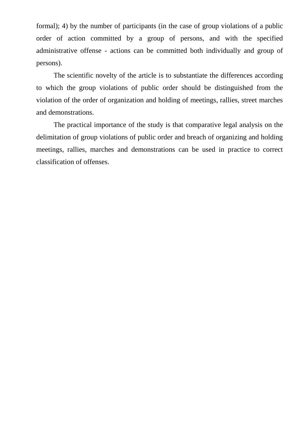formal); 4) by the number of participants (in the case of group violations of a public order of action committed by a group of persons, and with the specified administrative offense - actions can be committed both individually and group of persons).

The scientific novelty of the article is to substantiate the differences according to which the group violations of public order should be distinguished from the violation of the order of organization and holding of meetings, rallies, street marches and demonstrations.

The practical importance of the study is that comparative legal analysis on the delimitation of group violations of public order and breach of organizing and holding meetings, rallies, marches and demonstrations can be used in practice to correct classification of offenses.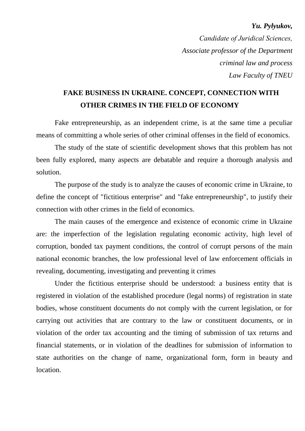#### *Yu. Pylyukov,*

*Сandidate of Juridical Sciences, Associate professor of the Department criminal law and process Law Faculty of TNEU*

### **FAKE BUSINESS IN UKRAINE. CONCEPT, CONNECTION WITH OTHER CRIMES IN THE FIELD OF ECONOMY**

Fake entrepreneurship, as an independent crime, is at the same time a peculiar means of committing a whole series of other criminal offenses in the field of economics.

The study of the state of scientific development shows that this problem has not been fully explored, many aspects are debatable and require a thorough analysis and solution.

The purpose of the study is to analyze the causes of economic crime in Ukraine, to define the concept of "fictitious enterprise" and "fake entrepreneurship", to justify their connection with other crimes in the field of economics.

The main causes of the emergence and existence of economic crime in Ukraine are: the imperfection of the legislation regulating economic activity, high level of corruption, bonded tax payment conditions, the control of corrupt persons of the main national economic branches, the low professional level of law enforcement officials in revealing, documenting, investigating and preventing it crimes

Under the fictitious enterprise should be understood: a business entity that is registered in violation of the established procedure (legal norms) of registration in state bodies, whose constituent documents do not comply with the current legislation, or for carrying out activities that are contrary to the law or constituent documents, or in violation of the order tax accounting and the timing of submission of tax returns and financial statements, or in violation of the deadlines for submission of information to state authorities on the change of name, organizational form, form in beauty and location.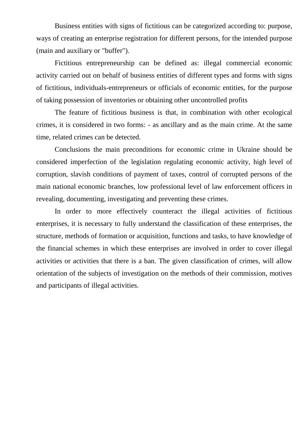Business entities with signs of fictitious can be categorized according to: purpose, ways of creating an enterprise registration for different persons, for the intended purpose (main and auxiliary or "buffer").

Fictitious entrepreneurship can be defined as: illegal commercial economic activity carried out on behalf of business entities of different types and forms with signs of fictitious, individuals-entrepreneurs or officials of economic entities, for the purpose of taking possession of inventories or obtaining other uncontrolled profits

The feature of fictitious business is that, in combination with other ecological crimes, it is considered in two forms: - as ancillary and as the main crime. At the same time, related crimes can be detected.

Conclusions the main preconditions for economic crime in Ukraine should be considered imperfection of the legislation regulating economic activity, high level of corruption, slavish conditions of payment of taxes, control of corrupted persons of the main national economic branches, low professional level of law enforcement officers in revealing, documenting, investigating and preventing these crimes.

In order to more effectively counteract the illegal activities of fictitious enterprises, it is necessary to fully understand the classification of these enterprises, the structure, methods of formation or acquisition, functions and tasks, to have knowledge of the financial schemes in which these enterprises are involved in order to cover illegal activities or activities that there is a ban. The given classification of crimes, will allow orientation of the subjects of investigation on the methods of their commission, motives and participants of illegal activities.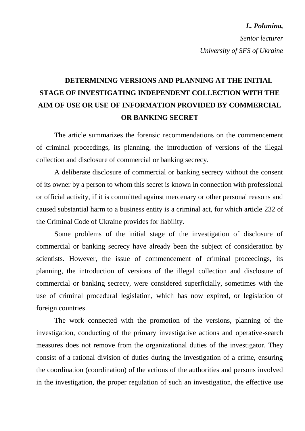*L. Polunina,*

*Senior lecturer University of SFS of Ukraine*

# **DETERMINING VERSIONS AND PLANNING AT THE INITIAL STAGE OF INVESTIGATING INDEPENDENT COLLECTION WITH THE AIM OF USE OR USE OF INFORMATION PROVIDED BY COMMERCIAL OR BANKING SECRET**

The article summarizes the forensic recommendations on the commencement of criminal proceedings, its planning, the introduction of versions of the illegal collection and disclosure of commercial or banking secrecy.

A deliberate disclosure of commercial or banking secrecy without the consent of its owner by a person to whom this secret is known in connection with professional or official activity, if it is committed against mercenary or other personal reasons and caused substantial harm to a business entity is a criminal act, for which article 232 of the Criminal Code of Ukraine provides for liability.

Some problems of the initial stage of the investigation of disclosure of commercial or banking secrecy have already been the subject of consideration by scientists. However, the issue of commencement of criminal proceedings, its planning, the introduction of versions of the illegal collection and disclosure of commercial or banking secrecy, were considered superficially, sometimes with the use of criminal procedural legislation, which has now expired, or legislation of foreign countries.

The work connected with the promotion of the versions, planning of the investigation, conducting of the primary investigative actions and operative-search measures does not remove from the organizational duties of the investigator. They consist of a rational division of duties during the investigation of a crime, ensuring the coordination (coordination) of the actions of the authorities and persons involved in the investigation, the proper regulation of such an investigation, the effective use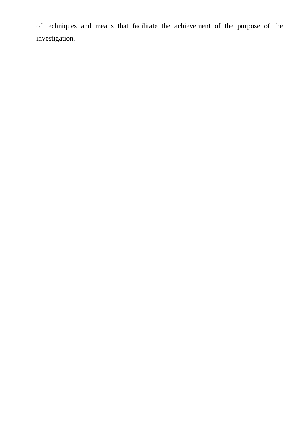of techniques and means that facilitate the achievement of the purpose of the investigation.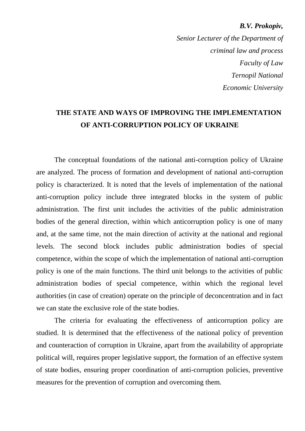*B.V. Prokopiv, Senior Lecturer of the Department of criminal law and process Faculty of Law Ternopil National Economic University*

#### **THE STATE AND WAYS OF IMPROVING THE IMPLEMENTATION OF ANTI-CORRUPTION POLICY OF UKRAINE**

The conceptual foundations of the national anti-corruption policy of Ukraine are analyzed. The process of formation and development of national anti-corruption policy is characterized. It is noted that the levels of implementation of the national anti-corruption policy include three integrated blocks in the system of public administration. The first unit includes the activities of the public administration bodies of the general direction, within which anticorruption policy is one of many and, at the same time, not the main direction of activity at the national and regional levels. The second block includes public administration bodies of special competence, within the scope of which the implementation of national anti-corruption policy is one of the main functions. The third unit belongs to the activities of public administration bodies of special competence, within which the regional level authorities (in case of creation) operate on the principle of deconcentration and in fact we can state the exclusive role of the state bodies.

The criteria for evaluating the effectiveness of anticorruption policy are studied. It is determined that the effectiveness of the national policy of prevention and counteraction of corruption in Ukraine, apart from the availability of appropriate political will, requires proper legislative support, the formation of an effective system of state bodies, ensuring proper coordination of anti-corruption policies, preventive measures for the prevention of corruption and overcoming them.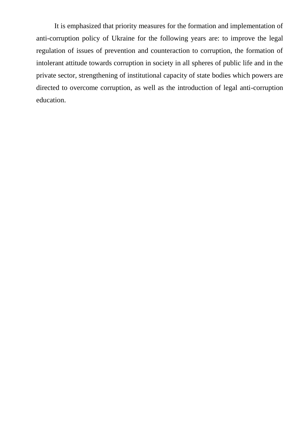It is emphasized that priority measures for the formation and implementation of anti-corruption policy of Ukraine for the following years are: to improve the legal regulation of issues of prevention and counteraction to corruption, the formation of intolerant attitude towards corruption in society in all spheres of public life and in the private sector, strengthening of institutional capacity of state bodies which powers are directed to overcome corruption, as well as the introduction of legal anti-corruption education.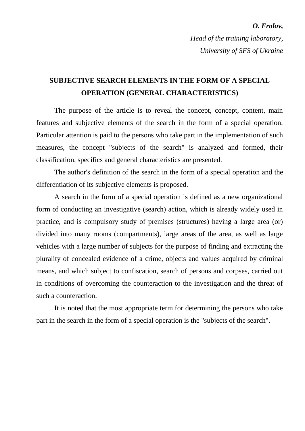#### *O. Frolov,*

*Head of the training laboratory, University of SFS of Ukraine*

### **SUBJECTIVE SEARCH ELEMENTS IN THE FORM OF A SPECIAL OPERATION (GENERAL CHARACTERISTICS)**

The purpose of the article is to reveal the concept, concept, content, main features and subjective elements of the search in the form of a special operation. Particular attention is paid to the persons who take part in the implementation of such measures, the concept "subjects of the search" is analyzed and formed, their classification, specifics and general characteristics are presented.

The author's definition of the search in the form of a special operation and the differentiation of its subjective elements is proposed.

A search in the form of a special operation is defined as a new organizational form of conducting an investigative (search) action, which is already widely used in practice, and is compulsory study of premises (structures) having a large area (or) divided into many rooms (compartments), large areas of the area, as well as large vehicles with a large number of subjects for the purpose of finding and extracting the plurality of concealed evidence of a crime, objects and values acquired by criminal means, and which subject to confiscation, search of persons and corpses, carried out in conditions of overcoming the counteraction to the investigation and the threat of such a counteraction.

It is noted that the most appropriate term for determining the persons who take part in the search in the form of a special operation is the "subjects of the search".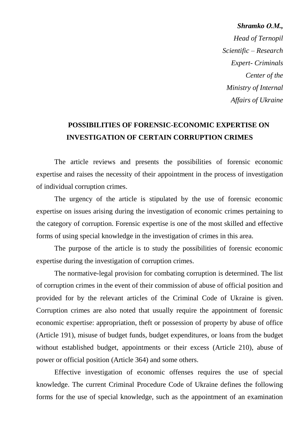*Shramko О.М., Head of Ternopil Scientific – Research Expert- Criminals Center of the Ministry of Internal Affairs of Ukraine* 

### **POSSIBILITIES OF FORENSIC-ECONOMIC EXPERTISE ON INVESTIGATION OF CERTAIN CORRUPTION CRIMES**

The article reviews and presents the possibilities of forensic economic expertise and raises the necessity of their appointment in the process of investigation of individual corruption crimes.

The urgency of the article is stipulated by the use of forensic economic expertise on issues arising during the investigation of economic crimes pertaining to the category of corruption. Forensic expertise is one of the most skilled and effective forms of using special knowledge in the investigation of crimes in this area.

The purpose of the article is to study the possibilities of forensic economic expertise during the investigation of corruption crimes.

The normative-legal provision for combating corruption is determined. The list of corruption crimes in the event of their commission of abuse of official position and provided for by the relevant articles of the Criminal Code of Ukraine is given. Corruption crimes are also noted that usually require the appointment of forensic economic expertise: appropriation, theft or possession of property by abuse of office (Article 191), misuse of budget funds, budget expenditures, or loans from the budget without established budget, appointments or their excess (Article 210), abuse of power or official position (Article 364) and some others.

Effective investigation of economic offenses requires the use of special knowledge. The current Criminal Procedure Code of Ukraine defines the following forms for the use of special knowledge, such as the appointment of an examination